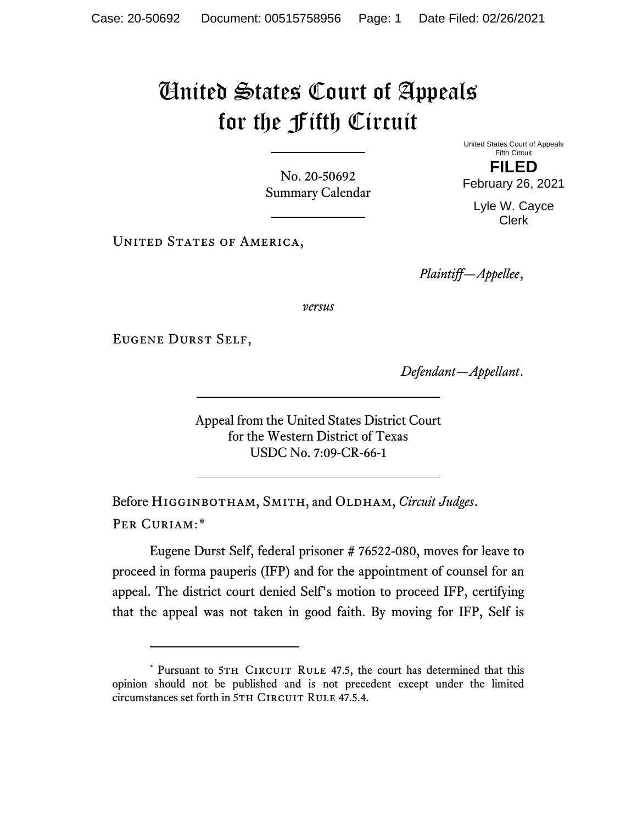## United States Court of Appeals for the Fifth Circuit

No. 20-50692 Summary Calendar United States Court of Appeals Fifth Circuit **FILED**

February 26, 2021 Lyle W. Cayce

Clerk

UNITED STATES OF AMERICA,

*Plaintiff—Appellee*,

*versus*

Eugene Durst Self,

*Defendant—Appellant*.

Appeal from the United States District Court for the Western District of Texas USDC No. 7:09-CR-66-1

Before Higginbotham, Smith, and Oldham, *Circuit Judges*. Per Curiam:[\\*](#page-0-0)

Eugene Durst Self, federal prisoner # 76522-080, moves for leave to proceed in forma pauperis (IFP) and for the appointment of counsel for an appeal. The district court denied Self's motion to proceed IFP, certifying that the appeal was not taken in good faith. By moving for IFP, Self is

<span id="page-0-0"></span><sup>\*</sup> Pursuant to 5TH CIRCUIT RULE 47.5, the court has determined that this opinion should not be published and is not precedent except under the limited circumstances set forth in 5TH CIRCUIT RULE 47.5.4.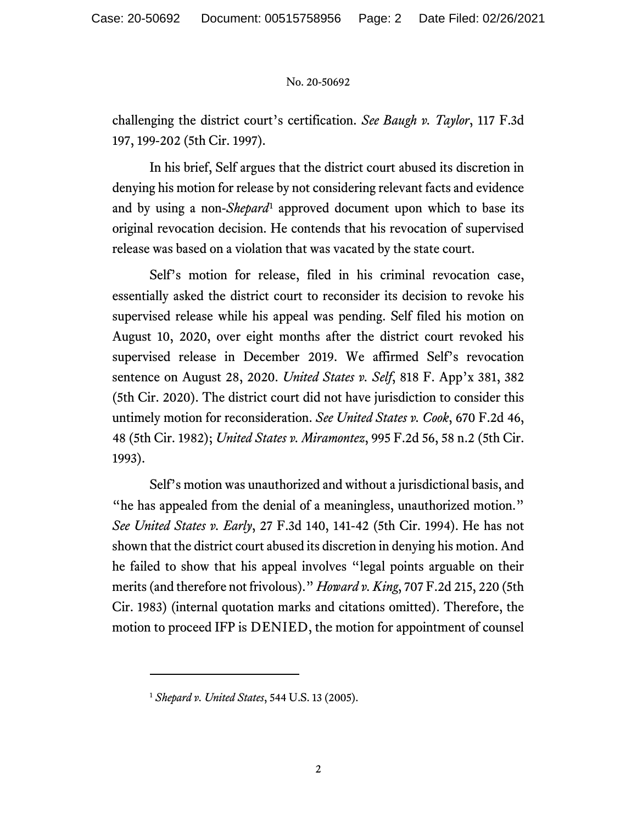## No. 20-50692

challenging the district court's certification. *See Baugh v. Taylor*, 117 F.3d 197, 199-202 (5th Cir. 1997).

In his brief, Self argues that the district court abused its discretion in denying his motion for release by not considering relevant facts and evidence and by using a non-*Shepard*[1](#page-1-0) approved document upon which to base its original revocation decision. He contends that his revocation of supervised release was based on a violation that was vacated by the state court.

Self's motion for release, filed in his criminal revocation case, essentially asked the district court to reconsider its decision to revoke his supervised release while his appeal was pending. Self filed his motion on August 10, 2020, over eight months after the district court revoked his supervised release in December 2019. We affirmed Self's revocation sentence on August 28, 2020. *United States v. Self*, 818 F. App'x 381, 382 (5th Cir. 2020). The district court did not have jurisdiction to consider this untimely motion for reconsideration. *See United States v. Cook*, 670 F.2d 46, 48 (5th Cir. 1982); *United States v. Miramontez*, 995 F.2d 56, 58 n.2 (5th Cir. 1993).

Self's motion was unauthorized and without a jurisdictional basis, and "he has appealed from the denial of a meaningless, unauthorized motion." *See United States v. Early*, 27 F.3d 140, 141-42 (5th Cir. 1994). He has not shown that the district court abused its discretion in denying his motion. And he failed to show that his appeal involves "legal points arguable on their merits (and therefore not frivolous)." *Howard v. King*, 707 F.2d 215, 220 (5th Cir. 1983) (internal quotation marks and citations omitted). Therefore, the motion to proceed IFP is DENIED, the motion for appointment of counsel

<span id="page-1-0"></span><sup>1</sup> *Shepard v. United States*, 544 U.S. 13 (2005).